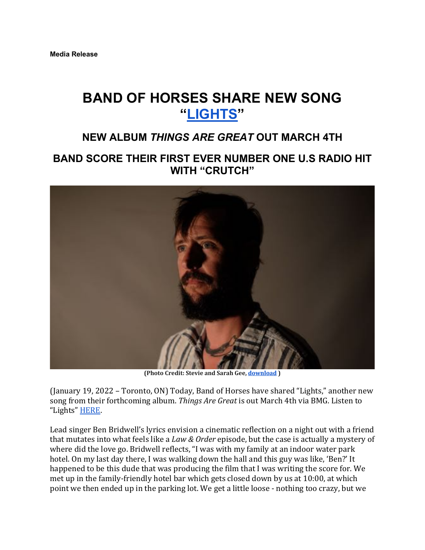# **BAND OF HORSES SHARE NEW SONG "LIGHTS"**

## **NEW ALBUM** *THINGS ARE GREAT* **OUT MARCH 4TH**

## **BAND SCORE THEIR FIRST EVER NUMBER ONE U.S RADIO HIT WITH "CRUTCH"**



**(Photo Credit: Stevie and Sarah Gee, download )**

(January 19, 2022 – Toronto, ON) Today, Band of Horses have shared "Lights," another new song from their forthcoming album. *Things Are Great* is out March 4th via BMG. Listen to "Lights" HERE.

Lead singer Ben Bridwell's lyrics envision a cinematic reflection on a night out with a friend that mutates into what feels like a *Law & Order* episode, but the case is actually a mystery of where did the love go. Bridwell reflects, "I was with my family at an indoor water park hotel. On my last day there, I was walking down the hall and this guy was like, 'Ben?' It happened to be this dude that was producing the film that I was writing the score for. We met up in the family-friendly hotel bar which gets closed down by us at 10:00, at which point we then ended up in the parking lot. We get a little loose - nothing too crazy, but we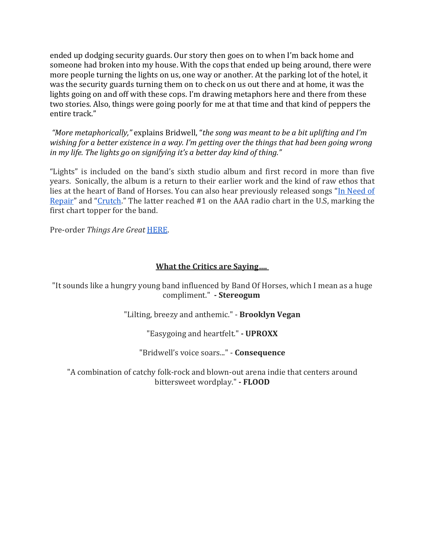ended up dodging security guards. Our story then goes on to when I'm back home and someone had broken into my house. With the cops that ended up being around, there were more people turning the lights on us, one way or another. At the parking lot of the hotel, it was the security guards turning them on to check on us out there and at home, it was the lights going on and off with these cops. I'm drawing metaphors here and there from these two stories. Also, things were going poorly for me at that time and that kind of peppers the entire track."

*"More metaphorically,"* explains Bridwell, "*the song was meant to be a bit uplifting and I'm* wishing for a better existence in a way. I'm getting over the things that had been going wrong *in* my life. The lights go on signifying it's a better day kind of thing."

"Lights" is included on the band's sixth studio album and first record in more than five years. Sonically, the album is a return to their earlier work and the kind of raw ethos that lies at the heart of Band of Horses. You can also hear previously released songs "In Need of Repair" and "Crutch." The latter reached #1 on the AAA radio chart in the U.S, marking the first chart topper for the band.

Pre-order *Things Are Great* HERE.

#### **What the Critics are Saying....**

"It sounds like a hungry young band influenced by Band Of Horses, which I mean as a huge compliment." **- Stereogum**

"Lilting, breezy and anthemic." - Brooklyn Vegan

"Easygoing and heartfelt." **- UPROXX**

"Bridwell's voice soars..." - **Consequence** 

"A combination of catchy folk-rock and blown-out arena indie that centers around bittersweet wordplay." **- FLOOD**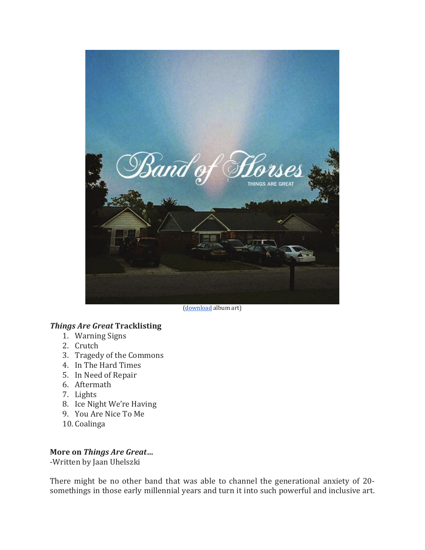

(download album art)

### *Things Are Great* **Tracklisting**

- 1. Warning Signs
- 2. Crutch
- 3. Tragedy of the Commons
- 4. In The Hard Times
- 5. In Need of Repair
- 6. Aftermath
- 7. Lights
- 8. Ice Night We're Having
- 9. You Are Nice To Me
- 10. Coalinga

#### **More on** *Things Are Great*…

-Written by Jaan Uhelszki

There might be no other band that was able to channel the generational anxiety of 20somethings in those early millennial years and turn it into such powerful and inclusive art.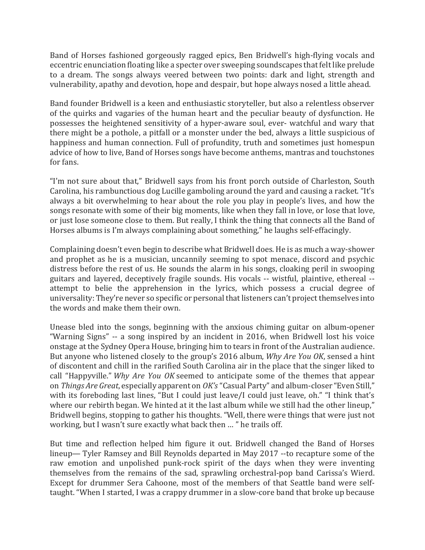Band of Horses fashioned gorgeously ragged epics, Ben Bridwell's high-flying vocals and eccentric enunciation floating like a specter over sweeping soundscapes that felt like prelude to a dream. The songs always veered between two points: dark and light, strength and vulnerability, apathy and devotion, hope and despair, but hope always nosed a little ahead.

Band founder Bridwell is a keen and enthusiastic storyteller, but also a relentless observer of the quirks and vagaries of the human heart and the peculiar beauty of dysfunction. He possesses the heightened sensitivity of a hyper-aware soul, ever- watchful and wary that there might be a pothole, a pitfall or a monster under the bed, always a little suspicious of happiness and human connection. Full of profundity, truth and sometimes just homespun advice of how to live, Band of Horses songs have become anthems, mantras and touchstones for fans.

"I'm not sure about that," Bridwell says from his front porch outside of Charleston, South Carolina, his rambunctious dog Lucille gamboling around the yard and causing a racket. "It's always a bit overwhelming to hear about the role you play in people's lives, and how the songs resonate with some of their big moments, like when they fall in love, or lose that love, or just lose someone close to them. But really, I think the thing that connects all the Band of Horses albums is I'm always complaining about something," he laughs self-effacingly.

Complaining doesn't even begin to describe what Bridwell does. He is as much a way-shower and prophet as he is a musician, uncannily seeming to spot menace, discord and psychic distress before the rest of us. He sounds the alarm in his songs, cloaking peril in swooping guitars and layered, deceptively fragile sounds. His vocals -- wistful, plaintive, ethereal -attempt to belie the apprehension in the lyrics, which possess a crucial degree of universality: They're never so specific or personal that listeners can't project themselves into the words and make them their own.

Unease bled into the songs, beginning with the anxious chiming guitar on album-opener "Warning Signs" -- a song inspired by an incident in 2016, when Bridwell lost his voice onstage at the Sydney Opera House, bringing him to tears in front of the Australian audience. But anyone who listened closely to the group's 2016 album, *Why Are You OK*, sensed a hint of discontent and chill in the rarified South Carolina air in the place that the singer liked to call "Happyville." *Why Are You OK* seemed to anticipate some of the themes that appear on *Things Are Great*, especially apparent on *OK's* "Casual Party" and album-closer "Even Still," with its foreboding last lines, "But I could just leave/I could just leave, oh." "I think that's where our rebirth began. We hinted at it the last album while we still had the other lineup," Bridwell begins, stopping to gather his thoughts. "Well, there were things that were just not working, but I wasn't sure exactly what back then ... " he trails off.

But time and reflection helped him figure it out. Bridwell changed the Band of Horses lineup— Tyler Ramsey and Bill Reynolds departed in May 2017 --to recapture some of the raw emotion and unpolished punk-rock spirit of the days when they were inventing themselves from the remains of the sad, sprawling orchestral-pop band Carissa's Wierd. Except for drummer Sera Cahoone, most of the members of that Seattle band were selftaught. "When I started, I was a crappy drummer in a slow-core band that broke up because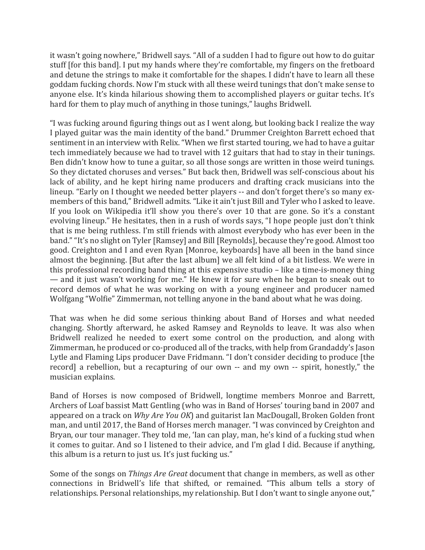it wasn't going nowhere," Bridwell says. "All of a sudden I had to figure out how to do guitar stuff [for this band]. I put my hands where they're comfortable, my fingers on the fretboard and detune the strings to make it comfortable for the shapes. I didn't have to learn all these goddam fucking chords. Now I'm stuck with all these weird tunings that don't make sense to anyone else. It's kinda hilarious showing them to accomplished players or guitar techs. It's hard for them to play much of anything in those tunings," laughs Bridwell.

"I was fucking around figuring things out as I went along, but looking back I realize the way I played guitar was the main identity of the band." Drummer Creighton Barrett echoed that sentiment in an interview with Relix. "When we first started touring, we had to have a guitar tech immediately because we had to travel with 12 guitars that had to stay in their tunings. Ben didn't know how to tune a guitar, so all those songs are written in those weird tunings. So they dictated choruses and verses." But back then, Bridwell was self-conscious about his lack of ability, and he kept hiring name producers and drafting crack musicians into the lineup. "Early on I thought we needed better players -- and don't forget there's so many exmembers of this band," Bridwell admits. "Like it ain't just Bill and Tyler who I asked to leave. If you look on Wikipedia it'll show you there's over 10 that are gone. So it's a constant evolving lineup." He hesitates, then in a rush of words says, "I hope people just don't think that is me being ruthless. I'm still friends with almost everybody who has ever been in the band." "It's no slight on Tyler [Ramsey] and Bill [Reynolds], because they're good. Almost too good. Creighton and I and even Ryan [Monroe, keyboards] have all been in the band since almost the beginning. [But after the last album] we all felt kind of a bit listless. We were in this professional recording band thing at this expensive studio  $-$  like a time-is-money thing — and it just wasn't working for me." He knew it for sure when he began to sneak out to record demos of what he was working on with a young engineer and producer named Wolfgang "Wolfie" Zimmerman, not telling anyone in the band about what he was doing.

That was when he did some serious thinking about Band of Horses and what needed changing. Shortly afterward, he asked Ramsey and Reynolds to leave. It was also when Bridwell realized he needed to exert some control on the production, and along with Zimmerman, he produced or co-produced all of the tracks, with help from Grandaddy's Jason Lytle and Flaming Lips producer Dave Fridmann. "I don't consider deciding to produce [the record] a rebellion, but a recapturing of our own -- and my own -- spirit, honestly," the musician explains.

Band of Horses is now composed of Bridwell, longtime members Monroe and Barrett, Archers of Loaf bassist Matt Gentling (who was in Band of Horses' touring band in 2007 and appeared on a track on *Why Are You OK*) and guitarist Ian MacDougall, Broken Golden front man, and until 2017, the Band of Horses merch manager. "I was convinced by Creighton and Bryan, our tour manager. They told me, 'Ian can play, man, he's kind of a fucking stud when it comes to guitar. And so I listened to their advice, and I'm glad I did. Because if anything, this album is a return to just us. It's just fucking us."

Some of the songs on *Things Are Great* document that change in members, as well as other connections in Bridwell's life that shifted, or remained. "This album tells a story of relationships. Personal relationships, my relationship. But I don't want to single anyone out,"